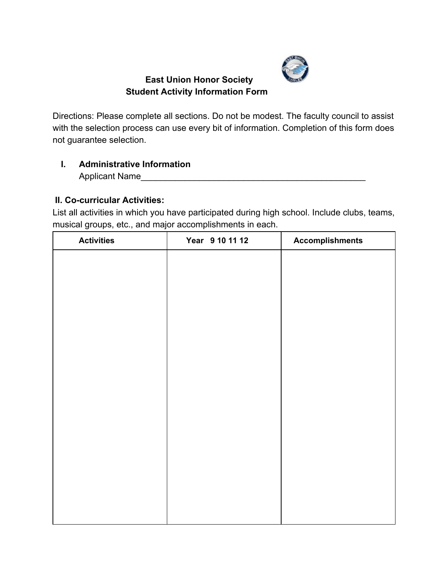

## **East Union Honor Society Student Activity Information Form**

Directions: Please complete all sections. Do not be modest. The faculty council to assist with the selection process can use every bit of information. Completion of this form does not guarantee selection.

# **I. Administrative Information**

Applicant Name

## **II. Co-curricular Activities:**

List all activities in which you have participated during high school. Include clubs, teams, musical groups, etc., and major accomplishments in each.

| <b>Activities</b> | Year 9 10 11 12 | <b>Accomplishments</b> |
|-------------------|-----------------|------------------------|
|                   |                 |                        |
|                   |                 |                        |
|                   |                 |                        |
|                   |                 |                        |
|                   |                 |                        |
|                   |                 |                        |
|                   |                 |                        |
|                   |                 |                        |
|                   |                 |                        |
|                   |                 |                        |
|                   |                 |                        |
|                   |                 |                        |
|                   |                 |                        |
|                   |                 |                        |
|                   |                 |                        |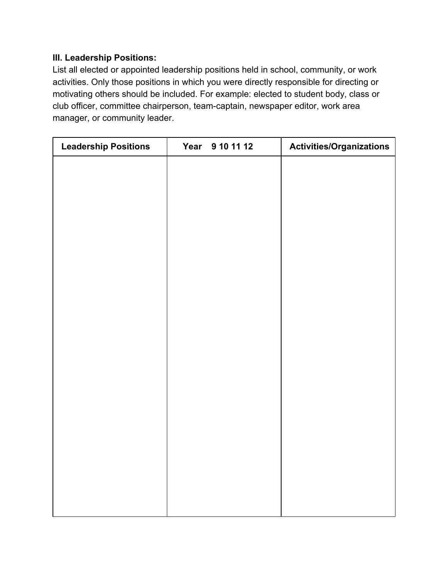#### **III. Leadership Positions:**

List all elected or appointed leadership positions held in school, community, or work activities. Only those positions in which you were directly responsible for directing or motivating others should be included. For example: elected to student body, class or club officer, committee chairperson, team-captain, newspaper editor, work area manager, or community leader.

| <b>Leadership Positions</b> | Year 9 10 11 12 | <b>Activities/Organizations</b> |
|-----------------------------|-----------------|---------------------------------|
|                             |                 |                                 |
|                             |                 |                                 |
|                             |                 |                                 |
|                             |                 |                                 |
|                             |                 |                                 |
|                             |                 |                                 |
|                             |                 |                                 |
|                             |                 |                                 |
|                             |                 |                                 |
|                             |                 |                                 |
|                             |                 |                                 |
|                             |                 |                                 |
|                             |                 |                                 |
|                             |                 |                                 |
|                             |                 |                                 |
|                             |                 |                                 |
|                             |                 |                                 |
|                             |                 |                                 |
|                             |                 |                                 |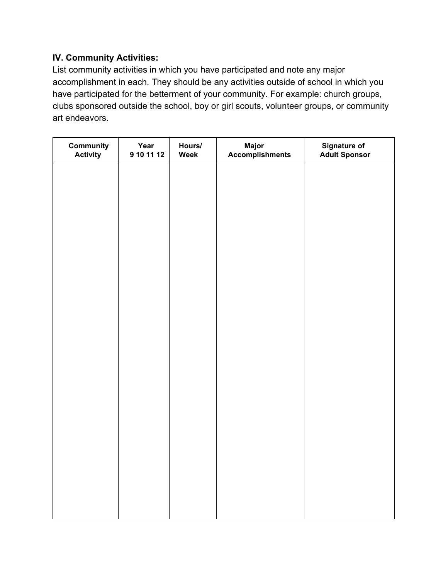### **IV. Community Activities:**

List community activities in which you have participated and note any major accomplishment in each. They should be any activities outside of school in which you have participated for the betterment of your community. For example: church groups, clubs sponsored outside the school, boy or girl scouts, volunteer groups, or community art endeavors.

| <b>Community</b><br><b>Activity</b> | Year<br>9 10 11 12 | Hours/<br>Week | Major<br>Accomplishments | <b>Signature of<br/>Adult Sponsor</b> |
|-------------------------------------|--------------------|----------------|--------------------------|---------------------------------------|
|                                     |                    |                |                          |                                       |
|                                     |                    |                |                          |                                       |
|                                     |                    |                |                          |                                       |
|                                     |                    |                |                          |                                       |
|                                     |                    |                |                          |                                       |
|                                     |                    |                |                          |                                       |
|                                     |                    |                |                          |                                       |
|                                     |                    |                |                          |                                       |
|                                     |                    |                |                          |                                       |
|                                     |                    |                |                          |                                       |
|                                     |                    |                |                          |                                       |
|                                     |                    |                |                          |                                       |
|                                     |                    |                |                          |                                       |
|                                     |                    |                |                          |                                       |
|                                     |                    |                |                          |                                       |